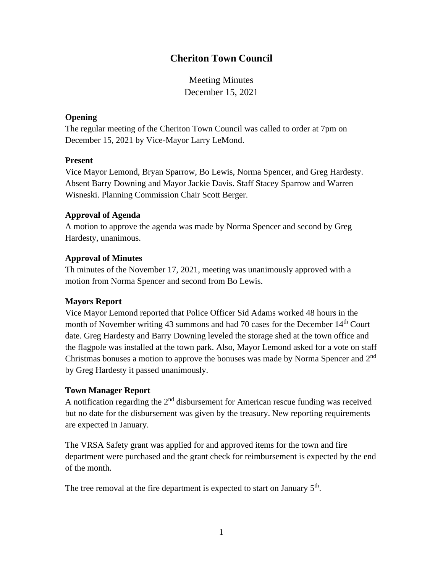# **Cheriton Town Council**

Meeting Minutes December 15, 2021

### **Opening**

The regular meeting of the Cheriton Town Council was called to order at 7pm on December 15, 2021 by Vice-Mayor Larry LeMond.

#### **Present**

Vice Mayor Lemond, Bryan Sparrow, Bo Lewis, Norma Spencer, and Greg Hardesty. Absent Barry Downing and Mayor Jackie Davis. Staff Stacey Sparrow and Warren Wisneski. Planning Commission Chair Scott Berger.

### **Approval of Agenda**

A motion to approve the agenda was made by Norma Spencer and second by Greg Hardesty, unanimous.

## **Approval of Minutes**

Th minutes of the November 17, 2021, meeting was unanimously approved with a motion from Norma Spencer and second from Bo Lewis.

## **Mayors Report**

Vice Mayor Lemond reported that Police Officer Sid Adams worked 48 hours in the month of November writing 43 summons and had 70 cases for the December  $14<sup>th</sup>$  Court date. Greg Hardesty and Barry Downing leveled the storage shed at the town office and the flagpole was installed at the town park. Also, Mayor Lemond asked for a vote on staff Christmas bonuses a motion to approve the bonuses was made by Norma Spencer and  $2<sup>nd</sup>$ by Greg Hardesty it passed unanimously.

## **Town Manager Report**

A notification regarding the  $2<sup>nd</sup>$  disbursement for American rescue funding was received but no date for the disbursement was given by the treasury. New reporting requirements are expected in January.

The VRSA Safety grant was applied for and approved items for the town and fire department were purchased and the grant check for reimbursement is expected by the end of the month.

The tree removal at the fire department is expected to start on January  $5<sup>th</sup>$ .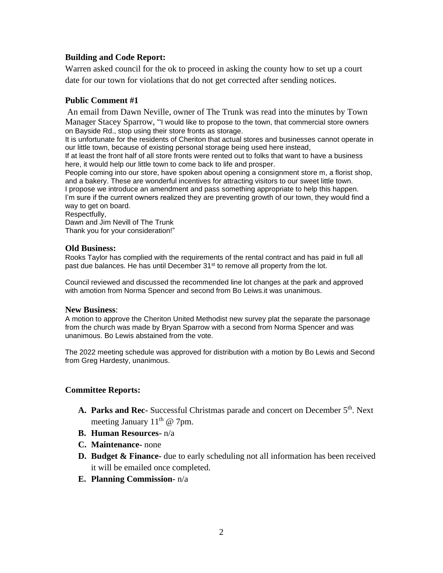# **Building and Code Report:**

Warren asked council for the ok to proceed in asking the county how to set up a court date for our town for violations that do not get corrected after sending notices.

### **Public Comment #1**

An email from Dawn Neville, owner of The Trunk was read into the minutes by Town Manager Stacey Sparrow, "I would like to propose to the town, that commercial store owners on Bayside Rd., stop using their store fronts as storage.

It is unfortunate for the residents of Cheriton that actual stores and businesses cannot operate in our little town, because of existing personal storage being used here instead,

If at least the front half of all store fronts were rented out to folks that want to have a business here, it would help our little town to come back to life and prosper.

People coming into our store, have spoken about opening a consignment store m, a florist shop, and a bakery. These are wonderful incentives for attracting visitors to our sweet little town. I propose we introduce an amendment and pass something appropriate to help this happen. I'm sure if the current owners realized they are preventing growth of our town, they would find a way to get on board.

Respectfully,

Dawn and Jim Nevill of The Trunk Thank you for your consideration!"

#### **Old Business:**

Rooks Taylor has complied with the requirements of the rental contract and has paid in full all past due balances. He has until December  $31<sup>st</sup>$  to remove all property from the lot.

Council reviewed and discussed the recommended line lot changes at the park and approved with amotion from Norma Spencer and second from Bo Leiws.it was unanimous.

#### **New Business**:

A motion to approve the Cheriton United Methodist new survey plat the separate the parsonage from the church was made by Bryan Sparrow with a second from Norma Spencer and was unanimous. Bo Lewis abstained from the vote.

The 2022 meeting schedule was approved for distribution with a motion by Bo Lewis and Second from Greg Hardesty, unanimous.

#### **Committee Reports:**

- A. Parks and Rec- Successful Christmas parade and concert on December 5<sup>th</sup>. Next meeting January  $11<sup>th</sup>$  @ 7pm.
- **B. Human Resources-** n/a
- **C. Maintenance-** none
- **D. Budget & Finance-** due to early scheduling not all information has been received it will be emailed once completed.
- **E. Planning Commission-** n/a